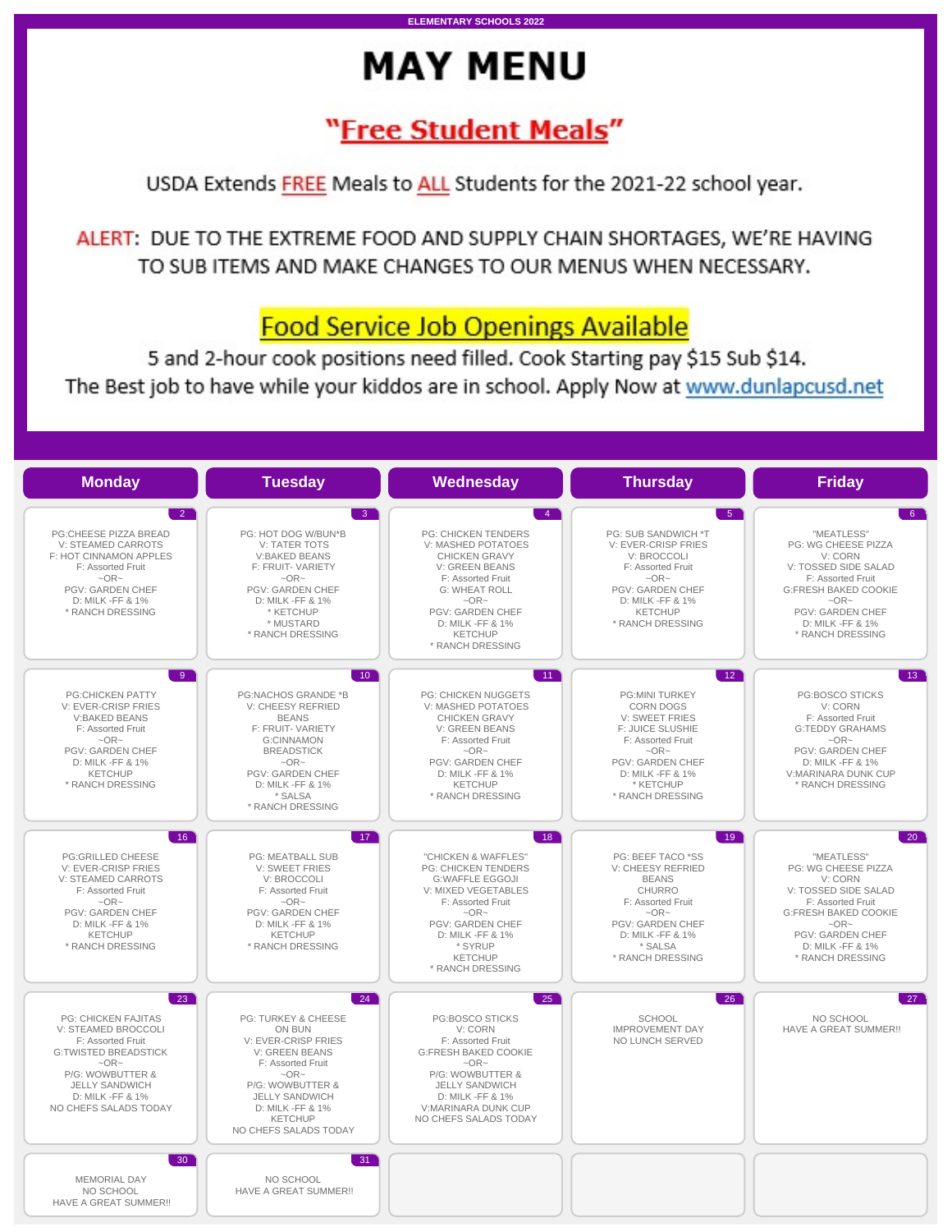# **MAY MENU**

**ELEMENTARY SCHOOLS 2022** 

## "Free Student Meals"

USDA Extends FREE Meals to ALL Students for the 2021-22 school year.

ALERT: DUE TO THE EXTREME FOOD AND SUPPLY CHAIN SHORTAGES, WE'RE HAVING TO SUB ITEMS AND MAKE CHANGES TO OUR MENUS WHEN NECESSARY.

## **Food Service Job Openings Available**

5 and 2-hour cook positions need filled. Cook Starting pay \$15 Sub \$14. The Best job to have while your kiddos are in school. Apply Now at www.dunlapcusd.net